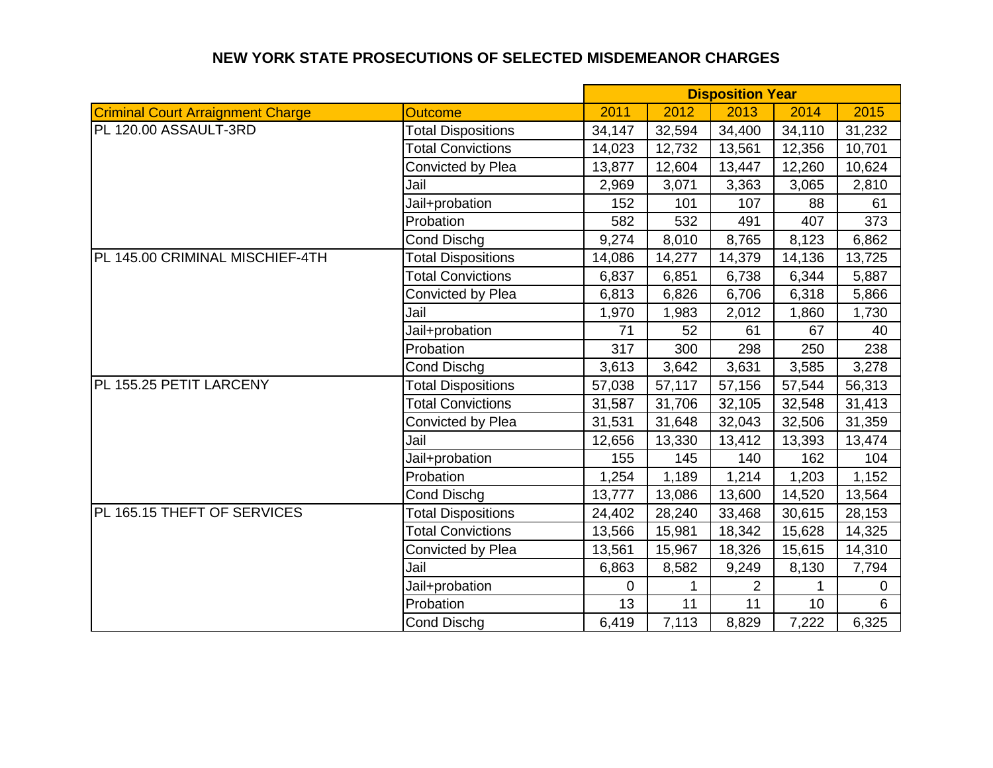## **NEW YORK STATE PROSECUTIONS OF SELECTED MISDEMEANOR CHARGES**

|                                          |                           | <b>Disposition Year</b> |        |                |                 |             |
|------------------------------------------|---------------------------|-------------------------|--------|----------------|-----------------|-------------|
| <b>Criminal Court Arraignment Charge</b> | <b>Outcome</b>            | 2011                    | 2012   | 2013           | 2014            | 2015        |
| PL 120.00 ASSAULT-3RD                    | <b>Total Dispositions</b> | 34,147                  | 32,594 | 34,400         | 34,110          | 31,232      |
|                                          | <b>Total Convictions</b>  | 14,023                  | 12,732 | 13,561         | 12,356          | 10,701      |
|                                          | Convicted by Plea         | 13,877                  | 12,604 | 13,447         | 12,260          | 10,624      |
|                                          | Jail                      | 2,969                   | 3,071  | 3,363          | 3,065           | 2,810       |
|                                          | Jail+probation            | 152                     | 101    | 107            | 88              | 61          |
|                                          | Probation                 | 582                     | 532    | 491            | 407             | 373         |
|                                          | <b>Cond Dischg</b>        | 9,274                   | 8,010  | 8,765          | 8,123           | 6,862       |
| PL 145.00 CRIMINAL MISCHIEF-4TH          | <b>Total Dispositions</b> | 14,086                  | 14,277 | 14,379         | 14,136          | 13,725      |
|                                          | <b>Total Convictions</b>  | 6,837                   | 6,851  | 6,738          | 6,344           | 5,887       |
|                                          | Convicted by Plea         | 6,813                   | 6,826  | 6,706          | 6,318           | 5,866       |
|                                          | Jail                      | 1,970                   | 1,983  | 2,012          | 1,860           | 1,730       |
|                                          | Jail+probation            | 71                      | 52     | 61             | 67              | 40          |
|                                          | Probation                 | 317                     | 300    | 298            | 250             | 238         |
|                                          | <b>Cond Dischg</b>        | 3,613                   | 3,642  | 3,631          | 3,585           | 3,278       |
| PL 155.25 PETIT LARCENY                  | <b>Total Dispositions</b> | 57,038                  | 57,117 | 57,156         | 57,544          | 56,313      |
|                                          | <b>Total Convictions</b>  | 31,587                  | 31,706 | 32,105         | 32,548          | 31,413      |
|                                          | Convicted by Plea         | 31,531                  | 31,648 | 32,043         | 32,506          | 31,359      |
|                                          | Jail                      | 12,656                  | 13,330 | 13,412         | 13,393          | 13,474      |
|                                          | Jail+probation            | 155                     | 145    | 140            | 162             | 104         |
|                                          | Probation                 | 1,254                   | 1,189  | 1,214          | 1,203           | 1,152       |
|                                          | <b>Cond Dischg</b>        | 13,777                  | 13,086 | 13,600         | 14,520          | 13,564      |
| PL 165.15 THEFT OF SERVICES              | <b>Total Dispositions</b> | 24,402                  | 28,240 | 33,468         | 30,615          | 28,153      |
|                                          | <b>Total Convictions</b>  | 13,566                  | 15,981 | 18,342         | 15,628          | 14,325      |
|                                          | Convicted by Plea         | 13,561                  | 15,967 | 18,326         | 15,615          | 14,310      |
|                                          | Jail                      | 6,863                   | 8,582  | 9,249          | 8,130           | 7,794       |
|                                          | Jail+probation            | 0                       | 1      | $\overline{2}$ |                 | $\mathbf 0$ |
|                                          | Probation                 | 13                      | 11     | 11             | 10 <sup>1</sup> | 6           |
|                                          | <b>Cond Dischg</b>        | 6,419                   | 7,113  | 8,829          | 7,222           | 6,325       |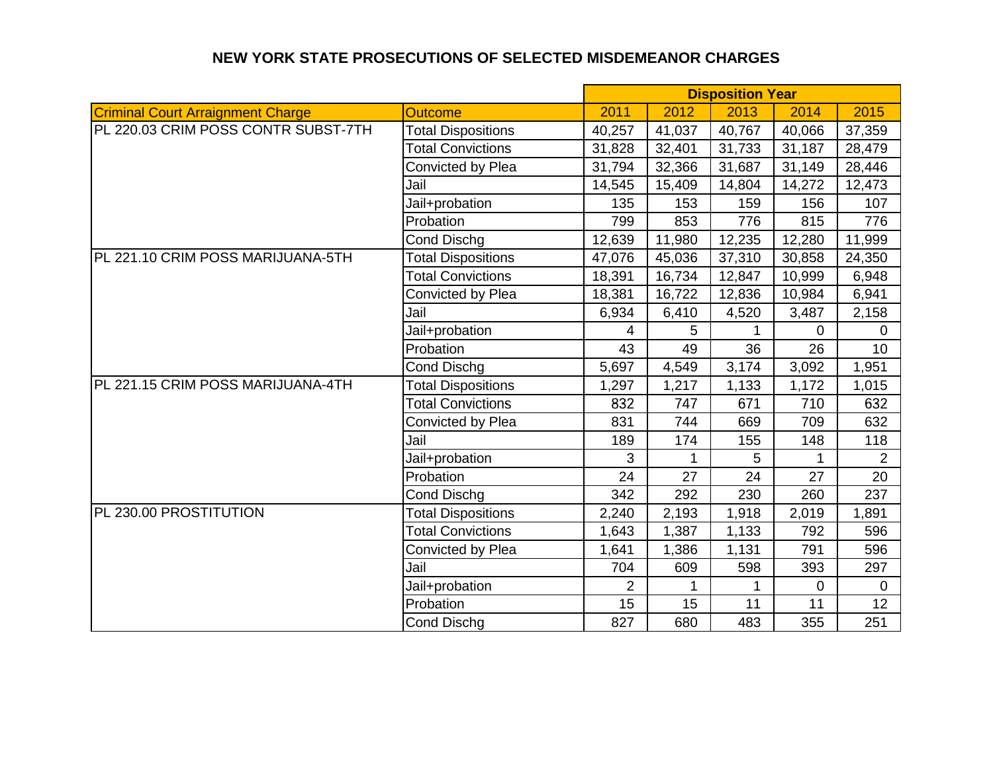## **NEW YORK STATE PROSECUTIONS OF SELECTED MISDEMEANOR CHARGES**

|                                          |                           | <b>Disposition Year</b> |        |        |                |                 |
|------------------------------------------|---------------------------|-------------------------|--------|--------|----------------|-----------------|
| <b>Criminal Court Arraignment Charge</b> | <b>Outcome</b>            | 2011                    | 2012   | 2013   | 2014           | 2015            |
| PL 220.03 CRIM POSS CONTR SUBST-7TH      | <b>Total Dispositions</b> | 40,257                  | 41,037 | 40,767 | 40,066         | 37,359          |
|                                          | <b>Total Convictions</b>  | 31,828                  | 32,401 | 31,733 | 31,187         | 28,479          |
|                                          | Convicted by Plea         | 31,794                  | 32,366 | 31,687 | 31,149         | 28,446          |
|                                          | Jail                      | 14,545                  | 15,409 | 14,804 | 14,272         | 12,473          |
|                                          | Jail+probation            | 135                     | 153    | 159    | 156            | 107             |
|                                          | Probation                 | 799                     | 853    | 776    | 815            | 776             |
|                                          | <b>Cond Dischg</b>        | 12,639                  | 11,980 | 12,235 | 12,280         | 11,999          |
| PL 221.10 CRIM POSS MARIJUANA-5TH        | <b>Total Dispositions</b> | 47,076                  | 45,036 | 37,310 | 30,858         | 24,350          |
|                                          | <b>Total Convictions</b>  | 18,391                  | 16,734 | 12,847 | 10,999         | 6,948           |
|                                          | Convicted by Plea         | 18,381                  | 16,722 | 12,836 | 10,984         | 6,941           |
|                                          | Jail                      | 6,934                   | 6,410  | 4,520  | 3,487          | 2,158           |
|                                          | Jail+probation            | 4                       | 5      |        | $\overline{0}$ | $\mathbf{0}$    |
|                                          | Probation                 | 43                      | 49     | 36     | 26             | 10              |
|                                          | <b>Cond Dischg</b>        | 5,697                   | 4,549  | 3,174  | 3,092          | 1,951           |
| PL 221.15 CRIM POSS MARIJUANA-4TH        | <b>Total Dispositions</b> | 1,297                   | 1,217  | 1,133  | 1,172          | 1,015           |
|                                          | <b>Total Convictions</b>  | 832                     | 747    | 671    | 710            | 632             |
|                                          | Convicted by Plea         | 831                     | 744    | 669    | 709            | 632             |
|                                          | Jail                      | 189                     | 174    | 155    | 148            | 118             |
|                                          | Jail+probation            | 3                       | 1      | 5      |                | $\overline{2}$  |
|                                          | Probation                 | 24                      | 27     | 24     | 27             | 20              |
|                                          | <b>Cond Dischg</b>        | 342                     | 292    | 230    | 260            | 237             |
| PL 230.00 PROSTITUTION                   | <b>Total Dispositions</b> | 2,240                   | 2,193  | 1,918  | 2,019          | 1,891           |
|                                          | <b>Total Convictions</b>  | 1,643                   | 1,387  | 1,133  | 792            | 596             |
|                                          | Convicted by Plea         | 1,641                   | 1,386  | 1,131  | 791            | 596             |
|                                          | Jail                      | 704                     | 609    | 598    | 393            | 297             |
|                                          | Jail+probation            | $\overline{2}$          | 1      | 1      | $\mathbf 0$    | 0               |
|                                          | Probation                 | 15                      | 15     | 11     | 11             | 12 <sub>2</sub> |
|                                          | Cond Dischg               | 827                     | 680    | 483    | 355            | 251             |